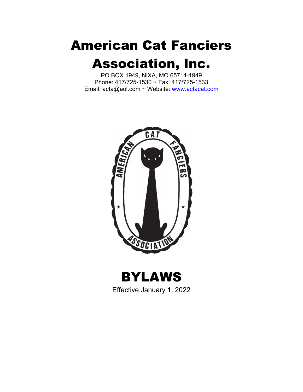# American Cat Fanciers Association, Inc.

PO BOX 1949, NIXA, MO 65714-1949 Phone: 417/725-1530 ~ Fax: 417/725-1533 Email: acfa@aol.com ~ Website: www.acfacat.com



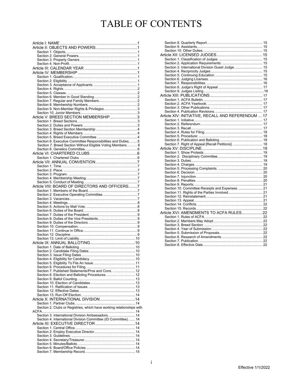### TABLE OF CONTENTS

| Article V: BREED SECTION MEMBERSHIP3                                  |
|-----------------------------------------------------------------------|
|                                                                       |
|                                                                       |
|                                                                       |
|                                                                       |
|                                                                       |
| Section 6. Executive Committee Responsibilities and Duties.  5        |
| Section 7. Breed Section Without Eligible Voting Members 6            |
|                                                                       |
|                                                                       |
|                                                                       |
|                                                                       |
|                                                                       |
|                                                                       |
|                                                                       |
|                                                                       |
|                                                                       |
| Article VIII: BOARD OF DIRECTORS AND OFFICERS7                        |
|                                                                       |
|                                                                       |
|                                                                       |
|                                                                       |
|                                                                       |
|                                                                       |
|                                                                       |
|                                                                       |
|                                                                       |
|                                                                       |
|                                                                       |
|                                                                       |
|                                                                       |
|                                                                       |
|                                                                       |
|                                                                       |
|                                                                       |
|                                                                       |
|                                                                       |
|                                                                       |
| Section 7. Published Statements/Pros and Cons.  12                    |
| Section 8. Election and Balloting Procedures 12                       |
|                                                                       |
|                                                                       |
|                                                                       |
|                                                                       |
|                                                                       |
|                                                                       |
| Section 2. Clubs or Registries, which have working relationships with |
|                                                                       |
| Section 3. International Division Ambassadors 14                      |
| Section 4. International Division Committee (ID Committee).  14       |
|                                                                       |
|                                                                       |
|                                                                       |
|                                                                       |
|                                                                       |
|                                                                       |

| Section 3. International Division Guest Judge 15   |  |
|----------------------------------------------------|--|
|                                                    |  |
|                                                    |  |
|                                                    |  |
|                                                    |  |
|                                                    |  |
|                                                    |  |
|                                                    |  |
|                                                    |  |
|                                                    |  |
|                                                    |  |
|                                                    |  |
|                                                    |  |
| Article XIV: INITIATIVE, RECALL AND REFERENDUM  17 |  |
|                                                    |  |
|                                                    |  |
|                                                    |  |
|                                                    |  |
|                                                    |  |
|                                                    |  |
| Section 7. Right of Appeal [Recall Petitions].  18 |  |
|                                                    |  |
|                                                    |  |
|                                                    |  |
|                                                    |  |
|                                                    |  |
|                                                    |  |
|                                                    |  |
|                                                    |  |
|                                                    |  |
|                                                    |  |
|                                                    |  |
| Section 10. Committee Receipts and Expenses.  21   |  |
|                                                    |  |
|                                                    |  |
|                                                    |  |
|                                                    |  |
|                                                    |  |
|                                                    |  |
|                                                    |  |
|                                                    |  |
|                                                    |  |
|                                                    |  |
|                                                    |  |
|                                                    |  |
|                                                    |  |
|                                                    |  |
|                                                    |  |

i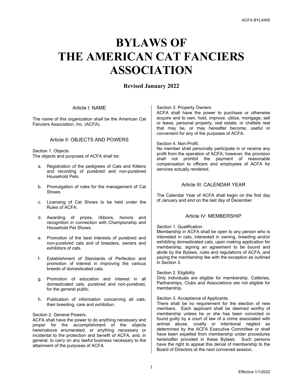## **BYLAWS OF THE AMERICAN CAT FANCIERS ASSOCIATION**

#### **Revised January 2022**

#### Article I: NAME

The name of this organization shall be the American Cat Fanciers Association, Inc. (ACFA).

#### Article II: OBJECTS AND POWERS

Section 1. Objects. The objects and purposes of ACFA shall be:

- a. Registration of the pedigrees of Cats and Kittens and recording of purebred and non-purebred Household Pets.
- b. Promulgation of rules for the management of Cat Shows.
- c. Licensing of Cat Shows to be held under the Rules of ACFA.
- d. Awarding of prizes, ribbons, honors and recognition in connection with Championship and Household Pet Shows.
- e. Promotion of the best interests of purebred and non-purebred cats and of breeders, owners and exhibitors of cats.
- f. Establishment of Standards of Perfection and promotion of interest in improving the various breeds of domesticated cats.
- g. Promotion of education and interest in all domesticated cats, purebred and non-purebred, for the general public.
- h. Publication of information concerning all cats, their breeding, care and exhibition.

#### Section 2. General Powers.

ACFA shall have the power to do anything necessary and proper for the accomplishment of the objects hereinabove enumerated, or anything necessary or incidental to the protection and benefit of ACFA, and, in general, to carry on any lawful business necessary to the attainment of the purposes of ACFA.

#### Section 3. Property Owners

ACFA shall have the power to purchase or otherwise acquire and to own, hold, improve, utilize, mortgage, sell or lease, personal property, real estate, or chattels real that may be, or may hereafter become, useful or convenient for any of the purposes of ACFA.

#### Section 4. Non-Profit.

No member shall personally participate in or receive any profit from the operation of ACFA; however, the provision shall not prohibit the payment of reasonable compensation to officers and employees of ACFA for services actually rendered.

#### Article III: CALENDAR YEAR

The Calendar Year of ACFA shall begin on the first day of January and end on the last day of December.

#### Article IV: MEMBERSHIP

#### Section 1. Qualification.

Membership in ACFA shall be open to any person who is interested in cats, interested in owning, breeding and/or exhibiting domesticated cats, upon making application for membership, signing an agreement to be bound and abide by the Bylaws, rules and regulations of ACFA, and paying the membership fee with the exception as outlined in Section 3.

#### Section 2. Eligibility

Only individuals are eligible for membership. Catteries, Partnerships, Clubs and Associations are not eligible for membership.

#### Section 3. Acceptance of Applicants.

There shall be no requirement for the election of new members. Each applicant shall be deemed worthy of membership unless he or she has been convicted or found guilty by a court of law of a crime associated with animal abuse, cruelty or intentional neglect as determined by the ACFA Executive Committee or shall have been expelled from membership under procedures hereinafter provided in these Bylaws. Such persons have the right to appeal this denial of membership to the Board of Directors at the next convened session.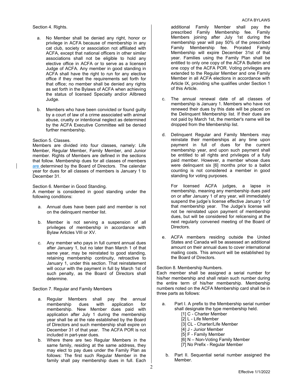Section 4. Rights.

- a. No Member shall be denied any right, honor or privilege in ACFA because of membership in any cat club, society or association not affiliated with ACFA, except that national officers in other similar associations shall not be eligible to hold any elective office in ACFA or to serve as a licensed Judge of ACFA. Any member in good standing in ACFA shall have the right to run for any elective office if they meet the requirements set forth for that office; no member shall be denied any rights as set forth in the Bylaws of ACFA when achieving the status of licensed Specialty and/or Allbreed Judge.
- b. Members who have been convicted or found guilty by a court of law of a crime associated with animal abuse, cruelty or intentional neglect as determined by the ACFA Executive Committee will be denied further membership.

#### Section 5. Classes.

Members are divided into four classes, namely: Life Member, Regular Member, Family Member, and Junior member. Rights of Members are defined in the sections that follow. Membership dues for all classes of members are determined by the Board of Directors. The calendar year for dues for all classes of members is January 1 to December 31.

Section 6. Member in Good Standing.

A member is considered in good standing under the following conditions:

- a. Annual dues have been paid and member is not on the delinquent member list.
- b. Member is not serving a suspension of all privileges of membership in accordance with Bylaw Articles VIII or XV.
- c. Any member who pays in full current annual dues after January 1, but no later than March 1 of that same year, may be reinstated to good standing, retaining membership continuity, retroactive to January 1, under this section. That reinstatement will occur with the payment in full by March 1st of such penalty, as the Board of Directors shall determine.

Section 7. Regular and Family Members

- a. Regular Members shall pay the annual membership dues with application for membership. New Member dues paid with application after July 1 during the membership year shall be at the rate established by the Board of Directors and such membership shall expire on December 31 of that year. The ACFA POR is not included in part-year dues.
- b. Where there are two Regular Members in the same family, residing at the same address, they may elect to pay dues under the Family Plan as follows: The first such Regular Member in the family shall pay membership dues in full. Each

additional Family Member shall pay the prescribed Family Membership fee. Family Members joining after July 1st during the membership year will pay 50% of the prescribed Family Membership fee. Prorated Family Membership will expire December 31st of that year. Families using the Family Plan shall be entitled to only one copy of the ACFA Bulletin and one copy of the ACFA POR. Voting privileges are extended to the Regular Member and one Family Member in all ACFA elections in accordance with Article IX, providing s/he qualifies under Section 1 of this Article.

- c. The annual renewal date of all classes of membership is January 1. Members who have not renewed their dues by this date will be placed on the Delinquent Membership list. If their dues are not paid by March 1st, the member's name will be dropped from the Membership list.
- d. Delinquent Regular and Family Members may reinstate their memberships at any time upon payment in full of dues for the current membership year, and upon such payment shall be entitled to all rights and privileges of a fully paid member. However, a member whose dues were delinquent six [6] months prior to a ballot counting is not considered a member in good standing for voting purposes.

For licensed ACFA judges, a lapse in membership, meaning any membership dues paid on or after January 1 of any year, will immediately suspend the judge's license effective January 1 of that membership year. The Judge's license will not be reinstated upon payment of membership dues, but will be considered for relicensing at the next regularly convened meeting of the Board of Directors.

e. ACFA members residing outside the United States and Canada will be assessed an additional amount on their annual dues to cover international mailing costs. This amount will be established by the Board of Directors.

#### Section 8. Membership Numbers.

Each member shall be assigned a serial number for his/her membership and shall retain such number during the entire term of his/her membership. Membership numbers noted on the ACFA Membership card shall be in three parts as follows:

- a. Part I. A prefix to the Membership serial number shall designate the type membership held.
	- [1] C Charter Member
	- [2] L Life Member
	- [3] CL Charter/Life Member
	- [4] J Junior Member
	- [5] F Family Member
	- [6] N Non-Voting Family Member
	- [7] No Prefix Regular Member
	- b. Part II. Sequential serial number assigned the Member.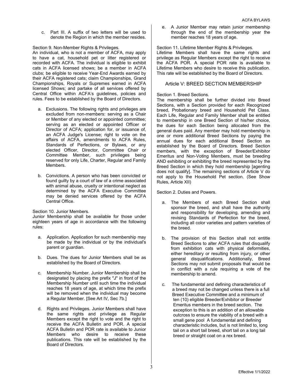c. Part III. A suffix of two letters will be used to denote the Region in which the member resides.

Section 9. Non-Member Rights & Privileges.

An individual, who is not a member of ACFA, may apply to have a cat, household pet or litter registered or recorded with ACFA. The individual is eligible to exhibit cats in ACFA licensed shows; be a member in ACFA clubs; be eligible to receive Year-End Awards earned by their ACFA registered cats; claim Championships, Grand Championships, Royals or Supremes earned in ACFA licensed Shows; and partake of all services offered by Central Office within ACFA's guidelines, policies and rules. Fees to be established by the Board of Directors.

- a. Exclusions. The following rights and privileges are excluded from non-members: serving as a Chair or Member of any elected or appointed committee; serving as an elected or appointed Officer or Director of ACFA; application for, or issuance of, an ACFA Judge's License; right to vote on the affairs of ACFA, amendments to ACFA Rules, Standards of Perfections, or Bylaws, or any elected Officer, Director, Committee Chair or Committee Member, such privileges being reserved for only Life, Charter, Regular and Family Members.
- b. Convictions. A person who has been convicted or found guilty by a court of law of a crime associated with animal abuse, cruelty or intentional neglect as determined by the ACFA Executive Committee may be denied services offered by the ACFA Central Office.

Section 10. Junior Members.

Junior Membership shall be available for those under eighteen years of age in accordance with the following rules:

- a. Application. Application for such membership may be made by the individual or by the individual's parent or guardian.
- b. Dues. The dues for Junior Members shall be as established by the Board of Directors.
- c. Membership Number. Junior Membership shall be designated by placing the prefix "J" in front of the Membership Number until such time the individual reaches 18 years of age, at which time the prefix will be removed when the individual may become a Regular Member. [See Art IV, Sec 7b.]
- d. Rights and Privileges. Junior Members shall have the same rights and privilege as Regular Members except the right to vote and the right to receive the ACFA Bulletin and POR. A special ACFA Bulletin and POR rate is available to Junior Members who desire to receive these publications. This rate will be established by the Board of Directors.

e. A Junior Member may retain junior membership through the end of the membership year the member reaches 18 years of age.

Section 11. Lifetime Member Rights & Privileges.

Lifetime Members shall have the same rights and privilege as Regular Members except the right to receive the ACFA POR. A special POR rate is available to Lifetime Members who desire to receive this publication. This rate will be established by the Board of Directors.

#### Article V: BREED SECTION MEMBERSHIP

#### Section 1. Breed Sections.

The membership shall be further divided into Breed Sections, with a Section provided for each Recognized breed, Probationary breed and Household Pet Class. Each Life, Regular and Family Member shall be entitled to membership in one Breed Section of his/her choice, the dues for each Section being allocated from the general dues paid. Any member may hold membership in one or more additional Breed Sections by paying the annual dues for each additional Breed Section as established by the Board of Directors. Breed Section members, with the exception of Breeder/Exhibitor Emeritus and Non-Voting Members, must be breeding AND exhibiting or exhibiting the breed represented by the Breed Section in which they hold membership [agenting does not qualify]. The remaining sections of Article V do not apply to the Household Pet section. (See Show Rules, Article XII)

Section 2. Duties and Powers.

- a. The Members of each Breed Section shall sponsor the breed, and shall have the authority and responsibility for developing, amending and revising Standards of Perfection for the breed, including all color varieties and pattern varieties of the breed.
- b. The provision of this Section shall not entitle Breed Sections to alter ACFA rules that disqualify from exhibition cats with physical deformities, either hereditary or resulting from injury, or other general disqualifications. Additionally, Breed Sections may not submit proposals that would be in conflict with a rule requiring a vote of the membership to amend.
- c. The fundamental and defining characteristics of a breed may not be changed unless there is a full Breed Executive Committee and a minimum of ten (10) eligible Breeder/Exhibitor or Breeder Emeritus members in the breed section. The exception to this is an addition of an allowable outcross to ensure the viability of a breed with a small gene pool A fundamental and defining characteristic includes, but is not limited to, long tail on a short tail breed, short tail on a long tail breed or straight coat on a rex breed.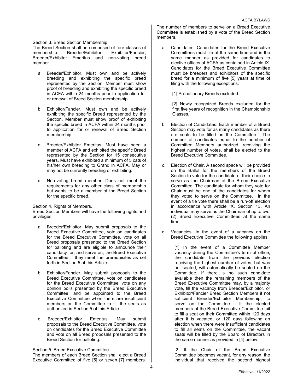#### Section 3. Breed Section Membership

The Breed Section shall be comprised of four classes of membership: Breeder/Exhibitor, Exhibitor/Fancier, Breeder/Exhibitor Emeritus and non-voting breed member.

- a. Breeder/Exhibitor. Must own and be actively breeding and exhibiting the specific breed represented by the Section. Member must show proof of breeding and exhibiting the specific breed in ACFA within 24 months prior to application for or renewal of Breed Section membership.
- b. Exhibitor/Fancier. Must own and be actively exhibiting the specific Breed represented by the Section. Member must show proof of exhibiting the specific breed in ACFA within 24 months prior to application for or renewal of Breed Section membership.
- c. Breeder/Exhibitor Emeritus. Must have been a member of ACFA and exhibited the specific Breed represented by the Section for 15 consecutive years. Must have exhibited a minimum of 5 cats of his/her own breeding to Grand in ACFA. May or may not be currently breeding or exhibiting.
- d. Non-voting breed member. Does not meet the requirements for any other class of membership but wants to be a member of the Breed Section for the specific breed.

Section 4. Rights of Members.

Breed Section Members will have the following rights and privileges.

- a. Breeder/Exhibitor. May submit proposals to the Breed Executive Committee, vote on candidates for the Breed Executive Committee, vote on all Breed proposals presented to the Breed Section for balloting and are eligible to announce their candidacy for, and serve on, the Breed Executive Committee if they meet the prerequisites as set forth in Section 5 of this Article.
- b. Exhibitor/Fancier. May submit proposals to the Breed Executive Committee, vote on candidates for the Breed Executive Committee, vote on any opinion polls presented by the Breed Executive Committee, and be appointed to the Breed Executive Committee when there are insufficient members on the Committee to fill the seats as authorized in Section 5 of this Article.
- c. Breeder/Exhibitor Emeritus. May submit proposals to the Breed Executive Committee, vote on candidates for the Breed Executive Committee and vote on all Breed proposals presented to the Breed Section for balloting.

Section 5. Breed Executive Committee

The members of each Breed Section shall elect a Breed Executive Committee of five [5] or seven [7] members.

The number of members to serve on a Breed Executive Committee is established by a vote of the Breed Section members.

a. Candidates. Candidates for the Breed Executive Committees must file at the same time and in the same manner as provided for candidates to elective offices of ACFA as contained in Article IX. Candidates for the Breed Executive Committee must be breeders and exhibitors of the specific breed for a minimum of five [5] years at time of filing with the following exceptions:

[1] Probationary Breeds excluded.

[2] Newly recognized Breeds excluded for the first five years of recognition in the Championship Classes.

- b. Election of Candidates: Each member of a Breed Section may vote for as many candidates as there are seats to be filled on the Committee. The number of candidates equal to the number of Committee Members authorized, receiving the highest number of votes, shall be elected to the Breed Executive Committee.
- c. Election of Chair. A second space will be provided on the Ballot for the members of the Breed Section to vote for the candidate of their choice to serve as the Chairman of the Breed Executive Committee. The candidate for whom they vote for Chair must be one of the candidates for whom they voted to serve on the Committee. In the event of a tie vote there shall be a run-off election in accordance with Article IX, Section 13. An individual may serve as the Chairman of up to two (2) Breed Executive Committees at the same time.
- d. Vacancies. In the event of a vacancy on the Breed Executive Committee the following applies:

[1] In the event of a Committee Member vacancy during the Committee's term of office, the candidate from the previous election receiving the highest number of votes, but was not seated, will automatically be seated on the Committee. If there is no such candidate available then the remaining members of the Breed Executive Committee may, by a majority vote, fill the vacancy from Breeder/Exhibitor, or Exhibitor/Fancier Breed Section Members if not sufficient Breeder/Exhibitor Membership, to<br>serve on the Committee. If the elected serve on the Committee members of the Breed Executive Committee fail to fill a seat on their Committee within 120 days after it is vacated, or 120 days following an election when there were insufficient candidates to fill all seats on the Committee, the vacant seats will be filled by the Board of Directors in the same manner as provided in [4] below.

[2] If the Chair of the Breed Executive Committee becomes vacant, for any reason, the individual that received the second highest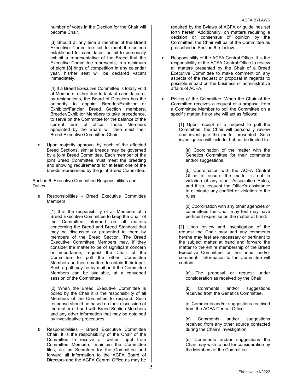number of votes in the Election for the Chair will become Chair.

[3] Should at any time a member of the Breed Executive Committee fail to meet the criteria established for candidates, or fail to personally exhibit a representative of the Breed that the Executive Committee represents, in a minimum of eight [8] rings of competition in any calendar year, his/her seat will be declared vacant immediately.

[4] If a Breed Executive Committee is totally void of Members, either due to lack of candidates or by resignations, the Board of Directors has the authority to appoint Breeder/Exhibitor or Exhibitor/Fancier Breed Section members, Breeder/Exhibitor Members to take precedence, to serve on the Committee for the balance of the current term of office. Those Members appointed by the Board will then elect their Breed Executive Committee Chair.

e. Upon majority approval by each of the affected Breed Sections, similar breeds may be governed by a joint Breed Committee. Each member of the joint Breed Committee must meet the breeding and showing requirements for at least one of the breeds represented by the joint Breed Committee.

Section 6. Executive Committee Responsibilities and Duties.

a. Responsibilities - Breed Executive Committee **Members** 

> [1] It is the responsibility of all Members of a Breed Executive Committee to keep the Chair of the Committee informed on all matters concerning the Breed and Breed Standard that may be discussed or presented to them by members of the Breed Section. The Breed Executive Committee Members may, if they consider the matter to be of significant concern or importance, request the Chair of the Committee to poll the other Committee Members on these matters to obtain their input. Such a poll may be by mail or, if the Committee Members can be available, at a convened session of the Committee.

> [2] When the Breed Executive Committee is polled by the Chair it is the responsibility of all Members of the Committee to respond. Such response should be based on their discussion of the matter at hand with Breed Section Members and any other information that may be obtained by investigative procedures.

b. Responsibilities - Breed Executive Committee Chair. It is the responsibility of the Chair of the Committee to receive all written input from Committee Members, maintain the Committee files, act as Secretary for the Committee and forward all information to the ACFA Board of Directors and the ACFA Central Office as may be

required by the Bylaws of ACFA or guidelines set forth herein. Additionally, on matters requiring a decision or consensus of opinion by the Committee, the Chair will ballot the Committee as prescribed in Section 6.e. below.

- c. Responsibility of the ACFA Central Office. It is the responsibility of the ACFA Central Office to review all matters presented by the Chair of a Breed Executive Committee to make comment on any aspects of the request or proposal in regards to possible impact on the business or administrative affairs of ACFA.
- d. Polling of the Committee. When the Chair of the Committee receives a request or a proposal from a Committee Member to poll the Committee on a specific matter, he or she will act as follows:

[1] Upon receipt of a request to poll the Committee, the Chair will personally review and investigate the matter presented. Such investigation will include, but not be limited to:

[a] Coordination of the matter with the Genetics Committee for their comments and/or suggestions.

[b] Coordination with the ACFA Central Office to ensure the matter is not in violation of any other Association Rules, and if so, request the Office's assistance to eliminate any conflict or violation to the rules.

[c] Coordination with any other agencies or committees the Chair may feel may have pertinent expertise on the matter at hand.

[2] Upon review and investigation of the request the Chair may add any comments he/she may feel are necessary or pertinent to the subject matter at hand and forward the matter to the entire membership of the Breed Executive Committee for their input and/or comment. Information to the Committee will contain:

[a] The proposal or request under consideration as received by the Chair.

[b] Comments and/or suggestions received from the Genetics Committee.

[c] Comments and/or suggestions received from the ACFA Central Office.

[d] Comments and/or suggestions received from any other source contacted during the Chair's investigation.

[e] Comments and/or suggestions the Chair may wish to add for consideration by the Members of the Committee.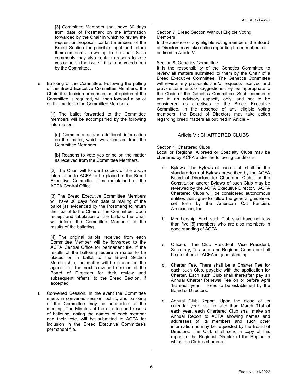[3] Committee Members shall have 30 days from date of Postmark on the information forwarded by the Chair in which to review the request or proposal, contact members of the Breed Section for possible input and return their comments, in writing, to the Chair. Such comments may also contain reasons to vote yes or no on the issue if it is to be voted upon by the Committee.

e. Balloting of the Committee. Following the polling of the Breed Executive Committee Members, the Chair, if a decision or consensus of opinion of the Committee is required, will then forward a ballot on the matter to the Committee Members.

> [1] The ballot forwarded to the Committee members will be accompanied by the following information:

[a] Comments and/or additional information on the matter, which was received from the Committee Members.

[b] Reasons to vote yes or no on the matter as received from the Committee Members.

[2] The Chair will forward copies of the above information to ACFA to be placed in the Breed Executive Committee files maintained at the ACFA Central Office.

[3] The Breed Executive Committee Members will have 30 days from date of mailing of the ballot [as evidenced by the Postmark] to return their ballot to the Chair of the Committee. Upon receipt and tabulation of the ballots, the Chair will inform the Committee Members of the results of the balloting.

[4] The original ballots received from each Committee Member will be forwarded to the ACFA Central Office for permanent file. If the results of the balloting require a matter to be placed on a ballot to the Breed Section Membership, the matter will be placed on the agenda for the next convened session of the Board of Directors for their review and subsequent referral to the Breed Section, if accepted.

f. Convened Session. In the event the Committee meets in convened session, polling and balloting of the Committee may be conducted at the meeting. The Minutes of the meeting and results of balloting, noting the names of each member and their vote, will be submitted to ACFA for inclusion in the Breed Executive Committee's permanent file.

Section 7. Breed Section Without Eligible Voting Members.

In the absence of any eligible voting members, the Board of Directors may take action regarding breed matters as outlined in Article V.

Section 8. Genetics Committee.

It is the responsibility of the Genetics Committee to review all matters submitted to them by the Chair of a Breed Executive Committee. The Genetics Committee will review any proposals and/or requests received and provide comments or suggestions they feel appropriate to the Chair of the Genetics Committee. Such comments are in an advisory capacity only, and not to be considered as directives to the Breed Executive Committee. In the absence of any eligible voting members, the Board of Directors may take action regarding breed matters as outlined in Article V.

#### Article VI: CHARTERED CLUBS

Section 1. Chartered Clubs.

Local or Regional Allbreed or Specialty Clubs may be chartered by ACFA under the following conditions:

- a. Bylaws. The Bylaws of each Club shall be the standard form of Bylaws prescribed by the ACFA Board of Directors for Chartered Clubs, or the Constitution and/or Bylaws of such Club may be reviewed by the ACFA Executive Director. ACFA Chartered Clubs will be considered autonomous entities that agree to follow the general guidelines set forth by the American Cat Fanciers Association, Inc.
- b. Membership. Each such Club shall have not less than five [5] members who are also members in good standing of ACFA.
- c. Officers. The Club President, Vice President, Secretary, Treasurer and Regional Councilor shall be members of ACFA in good standing.
- d. Charter Fee. There shall be a Charter Fee for each such Club, payable with the application for Charter. Each such Club shall thereafter pay an Annual Charter Renewal Fee on or before April 1st each year. Fees to be established by the Board of Directors.
- e. Annual Club Report. Upon the close of its calendar year, but no later than March 31st of each year, each Chartered Club shall make an Annual Report to ACFA showing names and addresses of its members and such other information as may be requested by the Board of Directors. The Club shall send a copy of this report to the Regional Director of the Region in which the Club is chartered.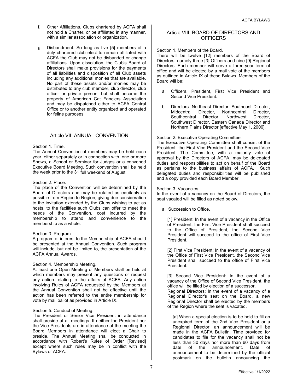- f. Other Affiliations. Clubs chartered by ACFA shall not hold a Charter, or be affiliated in any manner, with a similar association or organization.
- g. Disbandment. So long as five [5] members of a duly chartered club elect to remain affiliated with ACFA the Club may not be disbanded or change affiliations. Upon dissolution, the Club's Board of Directors shall make provisions for the payments of all liabilities and disposition of all Club assets including any additional monies that are available. No part of these assets and/or monies may be distributed to any club member, club director, club officer or private person, but shall become the property of American Cat Fanciers Association and may be dispatched either to ACFA Central Office or to another entity organized and operated for feline purposes.

#### Article VII: ANNUAL CONVENTION

#### Section 1. Time.

The Annual Convention of members may be held each year, either separately or in connection with, one or more Shows, a School or Seminar for Judges or a convened Executive Board Meeting. Such convention shall be held the week prior to the  $3<sup>rd</sup>$  full weekend of August.

#### Section 2. Place.

The place of the Convention will be determined by the Board of Directors and may be rotated as equitably as possible from Region to Region, giving due consideration to the invitation extended by the Clubs wishing to act as hosts, to the facilities such Clubs can offer to meet the needs of the Convention, cost incurred by the membership to attend and convenience to the membership as a whole.

#### Section 3. Program.

A program of interest to the Membership of ACFA should be presented at the Annual Convention. Such program will include, but not be limited to, the presentation of the ACFA Annual Awards.

#### Section 4. Membership Meeting.

At least one Open Meeting of Members shall be held at which members may present any questions or request any action relating to the affairs of ACFA. Any action involving Rules of ACFA requested by the Members at the Annual Convention shall not be effective until the action has been referred to the entire membership for vote by mail ballot as provided in Article IX.

#### Section 5. Conduct of Meeting.

The President or Senior Vice President in attendance shall preside at all meetings. If neither the President nor the Vice Presidents are in attendance at the meeting the Board Members in attendance will elect a Chair to preside. The Annual Meeting shall be conducted in accordance with Robert's Rules of Order [Revised] except where such rules may be in conflict with the Bylaws of ACFA.

#### Article VIII: BOARD OF DIRECTORS AND **OFFICERS**

Section 1. Members of the Board.

There will be twelve [12] members of the Board of Directors, namely three [3] Officers and nine [9] Regional Directors. Each member will serve a three-year term of office and will be elected by a mail vote of the members as outlined in Article IX of these Bylaws. Members of the Board will be:

- a. Officers. President, First Vice President and Second Vice President.
- b. Directors. Northeast Director, Southeast Director, Midcentral Director, Northcentral Director,<br>Southcentral Director, Northwest Director, Southcentral Director, Northwest Director, Southwest Director, Eastern Canada Director and Northern Plains Director [effective May 1, 2006].

#### Section 2. Executive Operating Committee.

The Executive Operating Committee shall consist of the President, the First Vice President and the Second Vice President. The Committee, with a majority vote of approval by the Directors of ACFA, may be delegated duties and responsibilities to act on behalf of the Board as pertains to the business affairs of ACFA. Such delegated duties and responsibilities will be published and a copy provided each Board Member.

#### Section 3. Vacancies.

In the event of a vacancy on the Board of Directors, the seat vacated will be filled as noted below.

a. Succession to Office.

[1] President: In the event of a vacancy in the Office of President, the First Vice President shall succeed to the Office of President, the Second Vice President will succeed to the office of First Vice President.

[2] First Vice President: In the event of a vacancy of the Office of First Vice President, the Second Vice President shall succeed to the office of First Vice President.

[3] Second Vice President: In the event of a vacancy of the Office of Second Vice President, the office will be filled by election of a successor.

Regional Directors: In the event of a vacancy of a Regional Director's seat on the Board, a new Regional Director shall be elected by the members of the Region where the seat is vacated.

[a] When a special election is to be held to fill an unexpired term of the 2nd Vice President or a Regional Director, an announcement will be made in the ACFA Bulletin. Time provided for candidates to file for the vacancy shall not be less than 30 days nor more than 60 days from date of the announcement. Date of announcement to be determined by the official postmark on the bulletin announcing the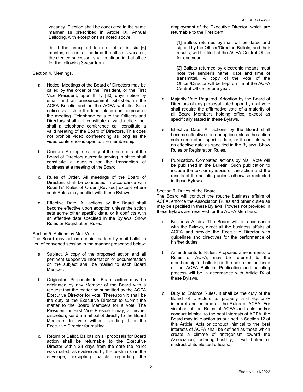vacancy. Election shall be conducted in the same manner as prescribed in Article IX, Annual Balloting, with exceptions as noted above.

[b] If the unexpired term of office is six [6] months, or less, at the time the office is vacated, the elected successor shall continue in that office for the following 3-year term.

Section 4. Meetings.

- a. Notice. Meetings of the Board of Directors may be called by the order of the President, or the First Vice President, upon thirty [30] days notice by email and an announcement published in the ACFA Bulletin and on the ACFA website. Such notice shall state the time, place and purpose of the meeting. Telephone calls to the Officers and Directors shall not constitute a valid notice, nor shall a telephone conference call constitute a valid meeting of the Board of Directors. This does not prohibit video conferencing as long as the video conference is open to the membership.
- b. Quorum. A simple majority of the members of the Board of Directors currently serving in office shall constitute a quorum for the transaction of business at a meeting of the Board.
- Rules of Order. All meetings of the Board of Directors shall be conducted in accordance with Robert's' Rules of Order [Revised] except where such Rules may conflict with these Bylaws.
- d. Effective Date. All actions by the Board shall become effective upon adoption unless the action sets some other specific date, or it conflicts with an effective date specified in the Bylaws, Show Rules or Registration Rules.

Section 5. Actions by Mail Vote.

The Board may act on certain matters by mail ballot in lieu of convened session in the manner prescribed below:

- a. Subject. A copy of the proposed action and all pertinent supportive information or documentation on the subject shall be mailed to each Board Member.
- b. Originator. Proposals for Board action may be originated by any Member of the Board with a request that the matter be submitted by the ACFA Executive Director for vote. Thereupon it shall be the duty of the Executive Director to submit the matter to the Board Members for a vote. The President or First Vice President may, at his/her discretion, send a mail ballot directly to the Board Members for vote without sending it to the Executive Director for mailing.
- c. Return of Ballot. Ballots on all proposals for Board action shall be returnable to the Executive Director within 28 days from the date the ballot was mailed, as evidenced by the postmark on the envelope, excepting ballots regarding the

employment of the Executive Director, which are returnable to the President.

[1] Ballots returned by mail will be dated and signed by the Officer/Director. Ballots, and their results, will be filed at the ACFA Central Office for one year.

[2] Ballots returned by electronic means must note the sender's name, date and time of transmittal. A copy of the vote of the Officer/Director will be kept on file at the ACFA Central Office for one year.

- d. Majority Vote Required. Adoption by the Board of Directors of any proposal voted upon by mail vote shall require the affirmative vote of a majority of all Board Members holding office, except as specifically stated in these Bylaws.
- e. Effective Date. All actions by the Board shall become effective upon adoption unless the action sets some other specific date, or it conflicts with an effective date as specified in the Bylaws, Show Rules or Registration Rules.
- f. Publication. Completed actions by Mail Vote will be published in the Bulletin. Such publication to include the text or synopsis of the action and the results of the balloting unless otherwise restricted in these Bylaws.

Section 6. Duties of the Board.

The Board will conduct the routine business affairs of ACFA, enforce the Association Rules and other duties as may be specified in these Bylaws. Powers not provided in these Bylaws are reserved for the ACFA Members.

- a. Business Affairs. The Board will, in accordance with the Bylaws, direct all the business affairs of ACFA and provide the Executive Director with guidelines and directives for the performance of his/her duties.
- b. Amendments to Rules. Proposed amendments to Rules of ACFA, may be referred to the membership for balloting in the next election issue of the ACFA Bulletin. Publication and balloting process will be in accordance with Article IX of these Bylaws.
- c. Duty to Enforce Rules. It shall be the duty of the Board of Directors to properly and equitably interpret and enforce all the Rules of ACFA. For violation of the Rules of ACFA and acts and/or conduct inimical to the best interests of ACFA, the Board may take action as outlined in Section 12 of this Article. Acts or conduct inimical to the best interests of ACFA shall be defined as those which create a climate of antagonism toward the Association, fostering hostility, ill will, hatred or mistrust of its elected officials.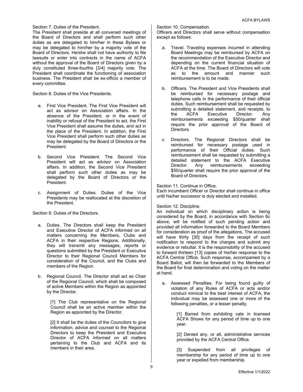#### Section 7. Duties of the President.

The President shall preside at all convened meetings of the Board of Directors and shall perform such other duties as are delegated to him/her in these Bylaws or may be delegated to him/her by a majority vote of the Board of Directors. He/she shall not have authority to file lawsuits or enter into contracts in the name of ACFA without the approval of the Board of Directors given by a duly constituted three-fourths [3/4] majority vote. The President shall coordinate the functioning of association business. The President shall be ex-officio a member of every committee.

Section 8. Duties of the Vice Presidents.

- a. First Vice President. The First Vice President will act as advisor on Association affairs. In the absence of the President, or in the event of inability or refusal of the President to act, the First Vice President shall assume the duties, and act in the place of the President. In addition, the First Vice President shall perform such other duties as may be delegated by the Board of Directors or the President.
- b. Second Vice President. The Second Vice President will act as advisor on Association affairs. In addition, the Second Vice President shall perform such other duties as may be delegated by the Board of Directors or the President.
- c. Assignment of Duties. Duties of the Vice Presidents may be reallocated at the discretion of the President.

Section 9. Duties of the Directors.

- a. Duties. The Directors shall keep the President and Executive Director of ACFA informed on all matters concerning the Members, Clubs and ACFA in their respective Regions. Additionally, they will transmit any messages, reports or questions submitted by the President or Executive Director to their Regional Council Members for consideration of the Council, and the Clubs and members of the Region.
- b. Regional Council. The Director shall act as Chair of the Regional Council, which shall be composed of active Members within the Region as appointed by the Director.

[1] The Club representative on the Regional Council shall be an active member within the Region as appointed by the Director.

[2] It shall be the duties of the Councilors to give information, advice and counsel to the Regional Directors to keep the President and Executive Director of ACFA informed on all matters pertaining to the Club and ACFA and its members in their area.

Section 10. Compensation.

Officers and Directors shall serve without compensation except as follows:

- a. Travel. Traveling expenses incurred in attending Board Meetings may be reimbursed by ACFA on the recommendation of the Executive Director and depending on the current financial situation of ACFA at the time. The Board of Directors will vote as to the amount and manner such reimbursement is to be made.
- b. Officers. The President and Vice Presidents shall be reimbursed for necessary postage and telephone calls in the performance of their official duties. Such reimbursement shall be requested by submitting a detailed statement, and receipts, to<br>the ACFA Executive Director. Anv the ACFA Executive Director. Any reimbursements exceeding \$50/quarter shall require the prior approval of the Board of Directors.
- c. Directors. The Regional Directors shall be reimbursed for necessary postage used in performance of their Official duties. Such reimbursement shall be requested by submitting a detailed statement to the ACFA Executive<br>Director. Anv reimbursements exceeding Any reimbursements exceeding \$50/quarter shall require the prior approval of the Board of Directors.

Section 11. Continue in Office.

Each incumbent Officer or Director shall continue in office until his/her successor is duly elected and installed.

Section 12. Discipline.

An individual on which disciplinary action is being considered by the Board, in accordance with Section 6c above, will be notified of such pending action and provided all information forwarded to the Board Members for consideration as proof of the allegations. The accused will have thirty [30] days from the receipt of such notification to respond to the charges and submit any evidence or rebuttal. It is the responsibility of the accused to forward thirteen [13] copies of his/her response to the ACFA Central Office. Such response, accompanied by a Board Ballot, will then be forwarded to the Members of the Board for final determination and voting on the matter at hand.

a. Assessed Penalties. For being found guilty of violation of any Rules of ACFA or acts and/or conduct inimical to the best interest of ACFA, the individual may be assessed one or more of the following penalties, or a lesser penalty.

> [1] Barred from exhibiting cats in licensed ACFA Shows for any period of time up to one year.

> [2] Denied any, or all, administrative services provided by the ACFA Central Office.

> [3] Suspended from all privileges of membership for any period of time up to one year or expelled from membership.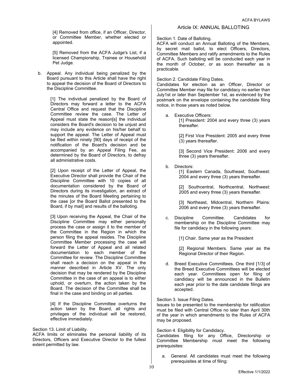[4] Removed from office, if an Officer, Director, or Committee Member, whether elected or appointed.

[5] Removed from the ACFA Judge's List, if a licensed Championship, Trainee or Household Pet Judge.

b. Appeal. Any individual being penalized by the Board pursuant to this Article shall have the right to appeal the decision of the Board of Directors to the Discipline Committee.

> [1] The individual penalized by the Board of Directors may forward a letter to the ACFA Central Office and request that the Discipline Committee review the case. The Letter of Appeal must state the reason[s] the individual considers the Board's decision to be unjust and may include any evidence on his/her behalf to support the appeal. The Letter of Appeal must be filed within ninety [90] days of receipt of the notification of the Board's decision and be accompanied by an Appeal Filing Fee, as determined by the Board of Directors, to defray all administrative costs.

> [2] Upon receipt of the Letter of Appeal, the Executive Director shall provide the Chair of the Discipline Committee with 10 copies of all documentation considered by the Board of Directors during its investigation, an extract of the minutes of the Board Meeting pertaining to the case [or the Board Ballot presented to the Board, if by mail] and results of the balloting.

> [3] Upon receiving the Appeal, the Chair of the Discipline Committee may either personally process the case or assign it to the member of the Committee in the Region in which the person filing the appeal resides. The Discipline Committee Member processing the case will forward the Letter of Appeal and all related documentation to each member of the Committee for review. The Discipline Committee shall reach a decision on the appeal in the manner described in Article XV. The only decision that may be rendered by the Discipline Committee in the case of an appeal is to either uphold, or overturn, the action taken by the Board. The decision of the Committee shall be final in the case and binding on all parties.

[4] If the Discipline Committee overturns the action taken by the Board, all rights and privileges of the individual will be restored, effective immediately.

Section 13. Limit of Liability.

ACFA limits or eliminates the personal liability of its Directors, Officers and Executive Director to the fullest extent permitted by law.

#### Article IX: ANNUAL BALLOTING

Section 1. Date of Balloting.

ACFA will conduct an Annual Balloting of the Members, by secret mail ballot, to elect Officers, Directors, Committee Members and ratify amendments to the Rules of ACFA. Such balloting will be conducted each year in the month of October, or as soon thereafter as is practicable.

Section 2. Candidate Filing Dates.

Candidates for election as an Officer, Director or Committee Member may file for candidacy no earlier than July1st or later than September 1st, as evidenced by the postmark on the envelope containing the candidate filing notice, in those years as noted below.

a. Executive Officers:

[1] President: 2004 and every three (3) years thereafter.

[2] First Vice President: 2005 and every three (3) years thereafter.

[3] Second Vice President: 2006 and every three (3) years thereafter.

b. Directors:

[1] Eastern Canada, Southeast, Southwest: 2004 and every three (3) years thereafter.

[2] Southcentral, Northcentral, Northwest: 2005 and every three (3) years thereafter.

[3] Northeast, Midcentral, Northern Plains: 2006 and every three (3) years thereafter.

c. Discipline Committee. Candidates for membership on the Discipline Committee may file for candidacy in the following years:

[1] Chair. Same year as the President

[2] Regional Members. Same year as the Regional Director of their Region.

d. Breed Executive Committees. One third [1/3] of the Breed Executive Committees will be elected each year. Committees open for filing of candidacy will be announced in the Bulletin each year prior to the date candidate filings are accepted.

Section 3. Issue Filing Dates.

Issues to be presented to the membership for ratification must be filed with Central Office no later than April 30th of the year in which amendments to the Rules of ACFA may be proposed.

Section 4. Eligibility for Candidacy.

Candidates filing for any Office, Directorship or Committee Membership must meet the following prerequisites:

a. General. All candidates must meet the following prerequisites at time of filing: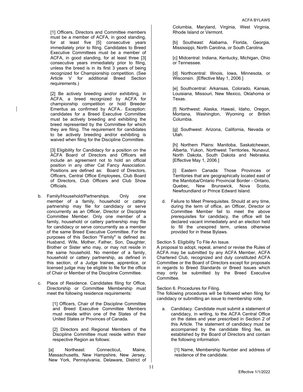[1] Officers, Directors and Committee members must be a member of ACFA, in good standing, for at least five [5] consecutive years immediately prior to filing. Candidates to Breed Executive Committees must be a member of ACFA, in good standing, for at least three [3] consecutive years immediately prior to filing, unless the breed is in its first 3 years of being recognized for Championship competition. (See Article V for additional Breed Section requirements.)

[2] Be actively breeding and/or exhibiting, in ACFA, a breed recognized by ACFA for championship competition or hold Breeder Emeritus as confirmed by ACFA.. Exception: candidates for a Breed Executive Committee must be actively breeding and exhibiting the breed represented by the Committee for which they are filing. The requirement for candidates to be actively breeding and/or exhibiting is waived when filing for the Discipline Committee.

[3] Eligibility for Candidacy for a position on the ACFA Board of Directors and Officers will include an agreement not to hold an official position in any other Cat Fancy Association. Positions are defined as: Board of Directors, Officers, Central Office Employees, Club Board of Directors, Club Officers and Club Show Officials.

- b. Family/Household/Partnerships. Only one member of a family, household or cattery partnership may file for candidacy or serve concurrently as an Officer, Director or Discipline Committee Member. Only one member of a family, household or cattery partnership may file for candidacy or serve concurrently as a member of the same Breed Executive Committee. For the purposes of this Section "Family" is defined as: Husband, Wife, Mother, Father, Son, Daughter, Brother or Sister who may, or may not reside in the same household. No member of a family, household or cattery partnership, as defined in this section, of a Judge trainee, apprentice, or licensed judge may be eligible to file for the office of Chair or Member of the Discipline Committee.
- c. Place of Residence. Candidates filing for Office, Directorship or Committee Membership must meet the following residence requirements:

[1] Officers, Chair of the Discipline Committee and Breed Executive Committee Members must reside within one of the States of the United States or Provinces of Canada.

[2] Directors and Regional Members of the Discipline Committee must reside within their respective Region as follows:

[a] Northeast: Connecticut, Maine, Massachusetts, New Hampshire, New Jersey, New York, Pennsylvania, Delaware, District of Columbia, Maryland, Virginia, West Virginia, Rhode Island or Vermont.

[b] Southeast: Alabama, Florida, Georgia, Mississippi, North Carolina, or South Carolina.

[c] Midcentral: Indiana, Kentucky, Michigan, Ohio or Tennessee.

[d] Northcentral: Illinois, Iowa, Minnesota, or Wisconsin. [Effective May 1, 2006.]

[e] Southcentral: Arkansas, Colorado, Kansas, Louisiana, Missouri, New Mexico, Oklahoma or Texas.

[f] Northwest: Alaska, Hawaii, Idaho, Oregon, Montana, Washington, Wyoming or British Columbia.

[g] Southwest: Arizona, California, Nevada or Utah.

[h] Northern Plains: Manitoba, Saskatchewan, Alberta, Yukon, Northwest Territories, Nunavut, North Dakota, South Dakota and Nebraska. [Effective May 1, 2006.]

[i] Eastern Canada: Those Provinces or Territories that are geographically located east of the Manitoba/Ontario Provincial Border - Ontario, Quebec, New Brunswick, Nova Scotia, Newfoundland or Prince Edward Island.

d. Failure to Meet Prerequisites. Should at any time, during the term of office, an Officer, Director or Committee Member fail to meet the above prerequisites for candidacy, the office will be declared vacant immediately and an election held to fill the unexpired term, unless otherwise provided for in these Bylaws.

#### Section 5. Eligibility To File An Issue.

A proposal to adopt, repeal, amend or revise the Rules of ACFA may be submitted by any ACFA Member, ACFA Chartered Club, recognized and duly constituted ACFA Committee or the Board of Directors except for proposals in regards to Breed Standards or Breed Issues which may only be submitted by the Breed Executive Committee.

Section 6. Procedures for Filing.

The following procedures will be followed when filing for candidacy or submitting an issue to membership vote.

a. Candidacy. Candidate must submit a statement of candidacy, in writing, to the ACFA Central Office on the dates and year prescribed in Section 2 of this Article. The statement of candidacy must be accompanied by the candidate filing fee, as established by the Board of Directors and contain the following information.

> [1] Name, Membership Number and address of residence of the candidate.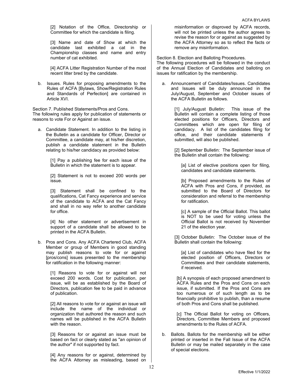[2] Notation of the Office, Directorship or Committee for which the candidate is filing.

[3] Name and date of Show at which the candidate last exhibited a cat in the Championship classes and name and entry number of cat exhibited.

[4] ACFA Litter Registration Number of the most recent litter bred by the candidate.

b. Issues. Rules for proposing amendments to the Rules of ACFA [Bylaws, Show/Registration Rules and Standards of Perfection] are contained in Article XVI.

Section 7. Published Statements/Pros and Cons. The following rules apply for publication of statements or reasons to vote For or Against an issue.

a. Candidate Statement. In addition to the listing in the Bulletin as a candidate for Officer, Director or Committee, a candidate may, at his/her discretion, publish a candidate statement in the Bulletin relating to his/her candidacy as provided below:

> [1] Pay a publishing fee for each issue of the Bulletin in which the statement is to appear.

> [2] Statement is not to exceed 200 words per issue.

> [3] Statement shall be confined to the qualifications, Cat Fancy experience and service of the candidate to ACFA and the Cat Fancy and shall in no way refer to another candidate for office.

> [4] No other statement or advertisement in support of a candidate shall be allowed to be printed in the ACFA Bulletin.

b. Pros and Cons. Any ACFA Chartered Club, ACFA Member or group of Members in good standing may publish reasons to vote for or against [pros/cons] issues presented to the membership for ratification in the following manner:

> [1] Reasons to vote for or against will not exceed 200 words. Cost for publication, per issue, will be as established by the Board of Directors, publication fee to be paid in advance of publication.

> [2] All reasons to vote for or against an issue will include the name of the individual or organization that authored the reason and such names will be published in the ACFA Bulletin with the reason.

> [3] Reasons for or against an issue must be based on fact or clearly stated as "an opinion of the author" if not supported by fact.

> [4] Any reasons for or against, determined by the ACFA Attorney as misleading, based on

misinformation or disproved by ACFA records, will not be printed unless the author agrees to revise the reason for or against as suggested by the ACFA Attorney so as to reflect the facts or remove any misinformation.

Section 8. Election and Balloting Procedures.

The following procedures will be followed in the conduct of the Annual Election of Candidates and balloting on issues for ratification by the membership.

a. Announcement of Candidates/Issues. Candidates and Issues will be duly announced in the July/August, September and October issues of the ACFA Bulletin as follows.

> [1] July/August Bulletin: This issue of the Bulletin will contain a complete listing of those elected positions for Officers, Directors and Committees which are open for filing of candidacy. A list of the candidates filing for office, and their candidate statements if submitted, will also be published.

> [2] September Bulletin: The September issue of the Bulletin shall contain the following:

[a] List of elective positions open for filing, candidates and candidate statements.

[b] Proposed amendments to the Rules of ACFA with Pros and Cons, if provided, as submitted to the Board of Directors for consideration and referral to the membership for ratification.

[c] A sample of the Official Ballot. This ballot is NOT to be used for voting unless the Official Ballot is not received by November 21 of the election year.

[3] October Bulletin: The October issue of the Bulletin shall contain the following:

[a] List of candidates who have filed for the elected position of Officers, Directors or Committees and their candidate statements, if received.

[b] A synopsis of each proposed amendment to ACFA Rules and the Pros and Cons on each issue, if submitted. If the Pros and Cons are too numerous or of such length as to be financially prohibitive to publish, than a resume of both Pros and Cons shall be published.

[c] The Official Ballot for voting on Officers, Directors, Committee Members and proposed amendments to the Rules of ACFA.

b. Ballots. Ballots for the membership will be either printed or inserted in the Fall Issue of the ACFA Bulletin or may be mailed separately in the case of special elections.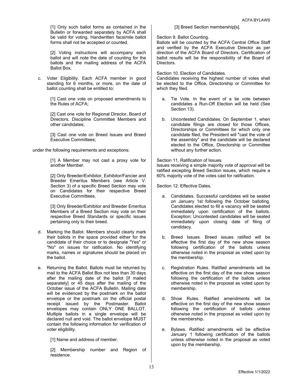[1] Only such ballot forms as contained in the Bulletin or forwarded separately by ACFA shall be valid for voting. Handwritten facsimile ballot forms shall not be accepted or counted.

[2] Voting instructions will accompany each ballot and will note the date of counting for the ballots and the mailing address of the ACFA Ballot Box.

c. Voter Eligibility. Each ACFA member in good standing for 6 months, or more, on the date of ballot counting shall be entitled to:

> [1] Cast one vote on proposed amendments to the Rules of ACFA;

> [2] Cast one vote for Regional Director, Board of Directors, Discipline Committee Members and other candidates;

> [3] Cast one vote on Breed Issues and Breed Executive Committees;

under the following requirements and exceptions:

[1] A Member may not cast a proxy vote for another Member.

[2] Only Breeder/Exhibitor, Exhibitor/Fancier and Breeder Emeritus Members (see Article V. Section 3) of a specific Breed Section may vote on Candidates for their respective Breed Executive Committees.

[3] Only Breeder/Exhibitor and Breeder Emeritus Members of a Breed Section may vote on their respective Breed Standards or specific issues pertaining only to their breed.

- d. Marking the Ballot. Members should clearly mark their ballots in the space provided either for the candidate of their choice or to designate "Yes" or "No" on issues for ratification. No identifying marks, names or signatures should be placed on the ballot.
- e. Returning the Ballot. Ballots must be returned by mail to the ACFA Ballot Box not less than 30 days after the mailing date of the ballot [if mailed separately] or 45 days after the mailing of the October issue of the ACFA Bulletin. Mailing date will be evidenced by the postmark on the ballot envelope or the postmark on the official postal receipt issued by the Postmaster. Ballot envelopes may contain ONLY ONE BALLOT. Multiple ballots in a single envelope will be declared null and void. The ballot envelope MUST contain the following information for verification of voter eligibility.

[1] Name and address of member.

[2] Membership number and Region of residence.

[3] Breed Section membership[s].

Section 9. Ballot Counting.

Ballots will be counted by the ACFA Central Office Staff and verified by the ACFA Executive Director as per direction of the ACFA Board of Directors. Certification of ballot results will be the responsibility of the Board of Directors.

Section 10. Election of Candidates.

Candidates receiving the highest number of votes shall be elected to the Office, Directorship or Committee for which they filed.

- a. Tie Vote. In the event of a tie vote between candidates a Run-Off Election will be held (See Section 13).
- b. Uncontested Candidates. On September 1, when candidate filings are closed for those Offices, Directorships or Committees for which only one candidate filed, the President will "cast the vote of the assembly" and the candidate will be declared elected to the Office, Directorship or Committee without any further action.

Section 11. Ratification of Issues. Issues receiving a simple majority vote of approval will be ratified excepting Breed Section issues, which require a 60% majority vote of the votes cast for ratification.

Section 12. Effective Dates.

- a. Candidates. Successful candidates will be seated on January 1st following the October balloting. Candidates elected to fill a vacancy will be seated immediately upon certification of the ballots. Exception: Uncontested candidates will be seated immediately upon closing date of filing of candidacy.
- b. Breed Issues. Breed issues ratified will be effective the first day of the new show season following certification of the ballots unless otherwise noted in the proposal as voted upon by the membership.
- c. Registration Rules. Ratified amendments will be effective on the first day of the new show season following the certification of the ballots unless otherwise noted in the proposal as voted upon by membership.
- d. Show Rules. Ratified amendments will be effective on the first day of the new show season following the certification of ballots unless otherwise noted in the proposal as voted upon by the membership.
- e. Bylaws. Ratified amendments will be effective January 1 following certification of the ballots unless otherwise noted in the proposal as voted upon by the membership.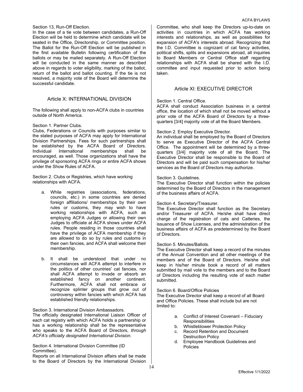#### Section 13, Run-Off Election.

In the case of a tie vote between candidates, a Run-Off Election will be held to determine which candidate will be seated in the Office, Directorship, or Committee position. The Ballot for the Run-Off Election will be published in the first available Bulletin following certification of the ballots or may be mailed separately. A Run-Off Election will be conducted in the same manner as described above in regards to voter eligibility, marking of the ballot, return of the ballot and ballot counting. If the tie is not resolved, a majority vote of the Board will determine the successful candidate.

#### Article X: INTERNATIONAL DIVISION

The following shall apply to non-ACFA clubs in countries outside of North America.

#### Section 1. Partner Clubs.

Clubs, Federations or Councils with purposes similar to the stated purposes of ACFA may apply for International Division Partnerships. Fees for such partnerships shall be established by the ACFA Board of Directors. Individual International memberships shall be encouraged, as well. Those organizations shall have the privilege of sponsoring ACFA rings or entire ACFA shows under the Show Rules of ACFA.

Section 2. Clubs or Registries, which have working relationships with ACFA.

- a. While registries (associations, federations, councils, etc.) in some countries are denied foreign affiliations/ memberships by their own rules or customs, they may wish to have working relationships with ACFA, such as employing ACFA Judges or allowing their own Judges to officiate at ACFA shows under ACFA rules. People residing in those countries shall have the privilege of ACFA membership if they are allowed to do so by rules and customs in their own fancies, and ACFA shall welcome their membership.
- b. It shall be understood that under no circumstances will ACFA attempt to interfere in the politics of other countries' cat fancies, nor shall ACFA attempt to invade or absorb an established fancy on another continent. Furthermore, ACFA shall not embrace or recognize splinter groups that grow out of controversy within fancies with which ACFA has established friendly relationships.

#### Section 3. International Division Ambassadors.

The officially designated International Liaison Officer of each cat registry with which ACFA holds a partnership or has a working relationship shall be the representative who speaks to the ACFA Board of Directors, *through ACFA's officially designated International Division.* 

#### Section 4. International Division Committee (ID Committee).

Reports on all International Division affairs shall be made to the Board of Directors by the International Division

Committee, who shall keep the Directors up-to-date on activities in countries in which ACFA has working interests and relationships, as well as possibilities for expansion of ACFA's interests abroad. Recognizing that the I.D. Committee is cognizant of cat fancy activities, political shifts, splits and expansions abroad, all inquiries to Board Members or Central Office staff regarding relationships with ACFA shall be shared with the I.D. committee and input requested prior to action being taken.

#### Article XI: EXECUTIVE DIRECTOR

#### Section 1. Central Office.

ACFA shall conduct Association business in a central office, the location of which shall not be moved without a prior vote of the ACFA Board of Directors by a threequarters [3/4] majority vote of all the Board Members.

#### Section 2. Employ Executive Director.

An individual shall be employed by the Board of Directors to serve as Executive Director of the ACFA Central Office. The appointment will be determined by a threequarters [3/4] majority vote of all the Board. The Executive Director shall be responsible to the Board of Directors and will be paid such compensation for his/her services as the Board of Directors may authorize.

#### Section 3. Guidelines.

The Executive Director shall function within the policies determined by the Board of Directors in the management of the business affairs of ACFA.

#### Section 4. Secretary/Treasurer.

The Executive Director shall function as the Secretary and/or Treasurer of ACFA. He/she shall have direct charge of the registration of cats and Catteries, the issuance of Show Licenses, and the administration of the business affairs of ACFA as predetermined by the Board of Directors.

#### Section 5. Minutes/Ballots.

The Executive Director shall keep a record of the minutes of the Annual Convention and all other meetings of the members and of the Board of Directors. He/she shall keep in his/her minute book a record of all matters submitted by mail vote to the members and to the Board of Directors including the resulting vote of each matter submitted.

#### Section 6. Board/Office Policies

The Executive Director shall keep a record of all Board and Office Policies. These shall include but are not limited to:

- a. Conflict of Interest Covenant Fiduciary **Responsibilities**
- b. Whistleblower Protection Policy<br>c. Record Retention and Documen
- Record Retention and Document Destruction Policy
- d. Employee Handbook Guidelines and Policies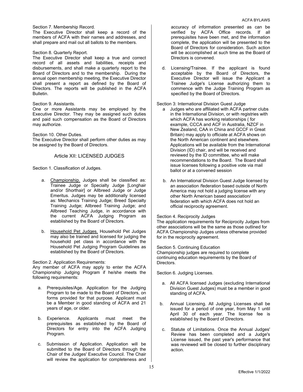#### Section 7. Membership Record.

The Executive Director shall keep a record of the members of ACFA with their names and addresses, and shall prepare and mail out all ballots to the members.

#### Section 8. Quarterly Report.

The Executive Director shall keep a true and correct record of all assets and liabilities, receipts and disbursements, and shall make a quarterly report to the Board of Directors and to the membership. During the annual open membership meeting, the Executive Director shall present a report as defined by the Board of Directors. The reports will be published in the ACFA Bulletin.

#### Section 9. Assistants.

One or more Assistants may be employed by the Executive Director. They may be assigned such duties and paid such compensation as the Board of Directors may authorize.

Section 10. Other Duties.

The Executive Director shall perform other duties as may be assigned by the Board of Directors.

#### Article XII: LICENSED JUDGES

Section 1. Classification of Judges.

- a. Championship. Judges shall be classified as: Trainee Judge or Specialty Judge [Longhair and/or Shorthair] or Allbreed Judge or Judge Emeritus. Judges may be additionally licensed as: Mechanics Training Judge; Breed Specialty Training Judge; Allbreed Training Judge; and Allbreed Teaching Judge, in accordance with the current ACFA Judging Program as established by the Board of Directors.
- b. Household Pet Judges. Household Pet Judges may also be trained and licensed for judging the household pet class in accordance with the Household Pet Judging Program Guidelines as established by the Board of Directors.

#### Section 2. Application Requirements:

Any member of ACFA may apply to enter the ACFA Championship Judging Program if he/she meets the following requirements:

- a. Prerequisites/Age. Application for the Judging Program to be made to the Board of Directors, on forms provided for that purpose. Applicant must be a Member in good standing of ACFA and 21 years of age, or older.
- b. Experience. Applicants must meet the prerequisites as established by the Board of Directors for entry into the ACFA Judging Program.
- c. Submission of Application. Application will be submitted to the Board of Directors through the Chair of the Judges' Executive Council. The Chair will review the application for completeness and

accuracy of information presented as can be verified by ACFA Office records. If all prerequisites have been met, and the information complete, the application will be presented to the Board of Directors for consideration. Such action will be accomplished at such time as the Board of Directors is convened.

d. Licensing/Trainee. If the applicant is found acceptable by the Board of Directors, the Executive Director will issue the Applicant a Trainee Judge's License authorizing them to commence with the Judge Training Program as specified by the Board of Directors.

Section 3: International Division Guest Judge

- a Judges who are affiliated with ACFA partner clubs in the International Division, or with registries with which ACFA has working relationships ( for example, CCCA and ACF in Australia, NZCF in New Zealand, CAA in China and GCCF in Great Britain) may apply to officiate at ACFA shows on the North American continent and elsewhere. Applications will be available from the International Division (ID) chair, and will be received and reviewed by the ID committee, who will make recommendations to the Board. The Board shall issue licenses following a positive vote via mail ballot or at a convened session
- b. An International Division Guest Judge licensed by an association /federation based outside of North America may not hold a judging license with any other North American based association/ federation with which ACFA does not hold an official reciprocity agreement.

#### Section 4. Reciprocity Judges

The application requirements for Reciprocity Judges from other associations will be the same as those outlined for ACFA Championship Judges unless otherwise provided for in the reciprocity agreement.

Section 5. Continuing Education

Championship judges are required to complete continuing education requirements by the Board of Directors.

Section 6. Judging Licenses.

- a. All ACFA licensed Judges (excluding International Division Guest Judges) must be a member in good standing of ACFA.
- b. Annual Licensing. All Judging Licenses shall be issued for a period of one year, from May 1 until April 30 of each year. The license fee is established by the Board of Directors.
- c. Statute of Limitations. Once the Annual Judges' Review has been completed and a Judge's License issued, the past year's performance that was reviewed will be closed to further disciplinary action.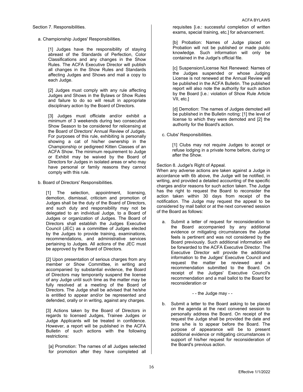a. Championship Judges' Responsibilities.

[1] Judges have the responsibility of staying abreast of the Standards of Perfection, Color Classifications and any changes in the Show Rules. The ACFA Executive Director will publish all changes in the Show Rules and Standards affecting Judges and Shows and mail a copy to each Judge.

[2] Judges must comply with any rule affecting Judges and Shows in the Bylaws or Show Rules and failure to do so will result in appropriate disciplinary action by the Board of Directors.

[3] Judges must officiate and/or exhibit a minimum of 3 weekends during two consecutive Show Season to be considered for relicensing at the Board of Directors' Annual Review of Judges. For purposes of this rule, exhibiting is personally showing a cat of his/her ownership in the Championship or pedigreed Kitten Classes of an ACFA Show. The minimum requirement to Judge or Exhibit may be waived by the Board of Directors for Judges in isolated areas or who may have personal or family reasons they cannot comply with this rule.

b. Board of Directors' Responsibilities.

[1] The selection, appointment, licensing, demotion, dismissal, criticism and promotion of Judges shall be the duty of the Board of Directors, and such duty and responsibility may not be delegated to an individual Judge, to a Board of Judges or organization of Judges. The Board of Directors shall establish the Judges Executive Council (JEC) as a committee of Judges elected by the Judges to provide training, examinations, recommendations, and administrative services pertaining to Judges. All actions of the JEC must be approved by the Board of Directors.

[2] Upon presentation of serious charges from any member or Show Committee, in writing and accompanied by substantial evidence, the Board of Directors may temporarily suspend the license of any Judge until such time as the matter may be fully resolved at a meeting of the Board of Directors. The Judge shall be advised that he/she is entitled to appear and/or be represented and defended, orally or in writing, against any charges.

[3] Actions taken by the Board of Directors in regards to licensed Judges, Trainee Judges or Judge Applicants will be treated in confidence. However, a report will be published in the ACFA Bulletin of such actions with the following restrictions:

[a] Promotion: The names of all Judges selected for promotion after they have completed all requisites [i.e.: successful completion of written exams, special training, etc.] for advancement.

[b] Probation: Names of Judge placed on Probation will not be published or made public knowledge. Such information will only be contained in the Judge's official file.

[c] Suspension/License Not Renewed: Names of the Judges suspended or whose Judging License is not renewed at the Annual Review will be published in the ACFA Bulletin. The published report will also note the authority for such action by the Board [i.e.: violation of Show Rule Article VII, etc.]

[d] Demotion: The names of Judges demoted will be published in the Bulletin noting: [1] the level of license to which they were demoted and [2] the authority for the Board's action.

c. Clubs' Responsibilities.

[1] Clubs may not require Judges to accept or refuse lodging in a private home before, during or after the Show.

Section 8. Judge's Right of Appeal.

When any adverse actions are taken against a Judge in accordance with 6b above, the Judge will be notified, in writing, and provided a detailed accounting of the specific charges and/or reasons for such action taken. The Judge has the right to request the Board to reconsider the action taken within 30 days from receipt of the notification. The Judge may request the appeal to be considered by mail ballot or at the next convened session of the Board as follows:

a. Submit a letter of request for reconsideration to the Board accompanied by any additional evidence or mitigating circumstances the Judge feels is pertinent and was not considered by the Board previously. Such additional information will be forwarded to the ACFA Executive Director. The Executive Director will provide the additional information to the Judges' Executive Council and request the matter be reviewed and a recommendation submitted to the Board. On receipt of the Judges' Executive Council's recommendation and a mail ballot to the Board for reconsideration or

- - the Judge may - -

b. Submit a letter to the Board asking to be placed on the agenda at the next convened session to personally address the Board. On receipt of the request the Judge shall be provided the date and time s/he is to appear before the Board. The purpose of appearance will be to present additional evidence or mitigating circumstances in support of his/her request for reconsideration of the Board's previous action.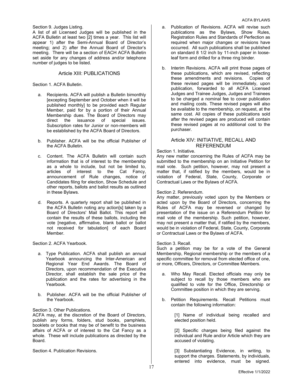Section 9. Judges Listing.

A list of all Licensed Judges will be published in the ACFA Bulletin at least two [2] times a year. This list will appear 1) after the Semi-Annual Board of Director's meeting; and 2) after the Annual Board of Director's meeting. There will be a section of EACH ACFA Bulletin set aside for any changes of address and/or telephone number of judges to be listed.

#### Article XIII: PUBLICATIONS

#### Section 1. ACFA Bulletin.

- a. Recipients. ACFA will publish a Bulletin bimonthly [excepting September and October when it will be published monthly] to be provided each Regular Member, paid for by a portion of their Annual Membership dues. The Board of Directors may direct the issuance of special issues. Subscription rates for Junior or non-members will be established by the ACFA Board of Directors.
- b. Publisher. ACFA will be the official Publisher of the ACFA Bulletin.
- c. Content. The ACFA Bulletin will contain such information that is of interest to the membership as a whole to include, but not be limited to, articles of interest to the Cat Fancy, announcement of Rule changes, notice of Candidates filing for election, Show Schedule and other reports, ballots and ballot results as outlined in these Bylaws.
- d. Reports. A quarterly report shall be published in the ACFA Bulletin noting any action[s] taken by a Board of Directors' Mail Ballot. This report will contain the results of these ballots, including the vote [negative, affirmative, blank ballot or ballot not received for tabulation] of each Board Member.

Section 2. ACFA Yearbook.

- a. Type Publication. ACFA shall publish an annual Yearbook announcing the Inter-American and Regional Year End Awards. The Board of Directors, upon recommendation of the Executive Director, shall establish the sale price of the publication and the rates for advertising in the Yearbook.
- b. Publisher. ACFA will be the official Publisher of the Yearbook.

Section 3. Other Publications.

ACFA may, at the discretion of the Board of Directors, publish any forms, folders, stud books, pamphlets, booklets or books that may be of benefit to the business affairs of ACFA or of interest to the Cat Fancy as a whole. These will include publications as directed by the Board.

Section 4. Publication Revisions.

- a. Publication of Revisions. ACFA will revise such publications as the Bylaws, Show Rules, Registration Rules and Standards of Perfection as required when major changes or revisions have occurred. All such publications shall be published on standard 8 1/2 inch by 11-inch paper in looseleaf form and drilled for a three ring binder.
- b. Interim Revisions. ACFA will print those pages of these publications, which are revised, reflecting these amendments and revisions. Copies of these revised pages will be immediately, upon publication, forwarded to all ACFA Licensed Judges and Trainee Judges, Judges and Trainees to be charged a nominal fee to cover publication and mailing costs. These revised pages will also be available to the membership, on request, at the same cost. All copies of these publications sold after the revised pages are produced will contain these revised pages at no additional cost to the purchaser.

#### Article XIV: INITIATIVE, RECALL AND REFERENDUM

#### Section 1. Initiative.

Any new matter concerning the Rules of ACFA may be submitted to the membership on an Initiative Petition for mail vote. Such petition, however, may not present a matter that, if ratified by the members, would be in violation of Federal, State, County, Corporate or Contractual Laws or the Bylaws of ACFA.

#### Section 2. Referendum.

Any matter, previously voted upon by the Members or acted upon by the Board of Directors, concerning the Rules of ACFA may be reversed or changed by presentation of the issue on a Referendum Petition for mail vote of the membership. Such petition, however, may not present a matter that, if ratified by the members, would be in violation of Federal, State, County, Corporate or Contractual Laws or the Bylaws of ACFA.

#### Section 3. Recall.

Such a petition may be for a vote of the General Membership, Regional membership or the members of a specific committee for removal from elected office of one, or more, Officers, Directors, or Committee Members.

- a. Who May Recall. Elected officials may only be subject to recall by those members who are qualified to vote for the Office, Directorship or Committee position in which they are serving.
- b. Petition Requirements. Recall Petitions must contain the following information:

[1] Name of individual being recalled and elected position held.

[2] Specific charges being filed against the individual and Rule and/or Article which they are accused of violating.

[3] Substantiating Evidence, in writing, to support the charges. Statements, by individuals, entered into evidence, must be signed.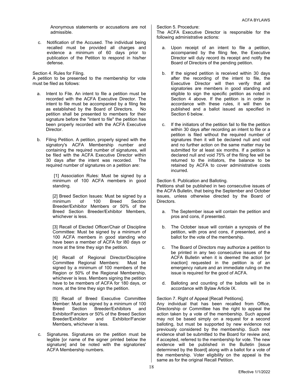Anonymous statements or accusations are not admissible.

c. Notification of the Accused. The individual being recalled must be provided all charges and evidence a minimum of 60 days prior to publication of the Petition to respond in his/her defense.

Section 4. Rules for Filing.

A petition to be presented to the membership for vote must be filed as follows:

- a. Intent to File. An intent to file a petition must be recorded with the ACFA Executive Director. The intent to file must be accompanied by a filing fee as established by the Board of Directors. No petition shall be presented to members for their signature before the "intent to file" the petition has been properly recorded with the ACFA Executive Director.
- b. Filing Petition. A petition, properly signed with the signatory's ACFA Membership number and containing the required number of signatures, will be filed with the ACFA Executive Director within 30 days after the intent was recorded. The required number of signatures on a petition are:

[1] Association Rules: Must be signed by a minimum of 100 ACFA members in good standing.

[2] Breed Section Issues: Must be signed by a minimum of 100 Breed Section Breeder/Exhibitor Members or 50% of the Breed Section Breeder/Exhibitor Members, whichever is less.

[3] Recall of Elected Officer/Chair of Discipline Committee: Must be signed by a minimum of 100 ACFA members in good standing who have been a member of ACFA for l80 days or more at the time they sign the petition.

[4] Recall of Regional Director/Discipline Committee Regional Members: signed by a minimum of 100 members of the Region or 50% of the Regional Membership, whichever is less. Members signing the petition have to be members of ACFA for 180 days, or more, at the time they sign the petition.

[5] Recall of Breed Executive Committee Member: Must be signed by a minimum of 100 Breed Section Breeder/Exhibitors and Exhibitor/Fanciers or 50% of the Breed Section Breeder/Exhibitor and Exhibitor/Fancier Members, whichever is less.

c. Signatures. Signatures on the petition must be legible [or name of the signer printed below the signature] and be noted with the signatories' ACFA Membership numbers.

Section 5. Procedure:

The ACFA Executive Director is responsible for the following administrative actions:

- a. Upon receipt of an intent to file a petition, accompanied by the filing fee, the Executive Director will duly record its receipt and notify the Board of Directors of the pending petition.
- b. If the signed petition is received within 30 days after the recording of the intent to file, the Executive Director will then verify that all signatories are members in good standing and eligible to sign the specific petition as noted in Section 4 above. If the petition is in order in accordance with these rules, it will then be published and a ballot issued as specified in Section 6 below.
- c. If the initiators of the petition fail to file the petition within 30 days after recording an intent to file or a petition is filed without the required number of signatures then it will be declared null and void and no further action on the same matter may be submitted for at least six months. If a petition is declared null and void 75% of the filing fee will be returned to the initiators, the balance to be retained by ACFA to cover administrative costs incurred.

Section 6. Publication and Balloting.

Petitions shall be published in two consecutive issues of the ACFA Bulletin, that being the September and October issues, unless otherwise directed by the Board of Directors.

- a. The September issue will contain the petition and pros and cons, if presented.
- b. The October issue will contain a synopsis of the petition, with pros and cons, if presented, and a ballot for the vote of the membership.
- c. The Board of Directors may authorize a petition to be printed in any two consecutive issues of the ACFA Bulletin when it is deemed the action [or inaction] requested in the petition is of an emergency nature and an immediate ruling on the issue is required for the good of ACFA.
- d. Balloting and counting of the ballots will be in accordance with Bylaw Article IX.

Section 7. Right of Appeal [Recall Petitions].

Any individual that has been recalled from Office, Directorship or Committee has the right to appeal the action taken by a vote of the membership. Such appeal may not be based simply on a request for a second balloting, but must be supported by new evidence not previously considered by the membership. Such new evidence shall be submitted to the Board for review and, if accepted, referred to the membership for vote. The new evidence will be published in the Bulletin [issue determined by the Board] along with a ballot for a vote of the membership. Voter eligibility on the appeal is the same as for the original Recall Petition.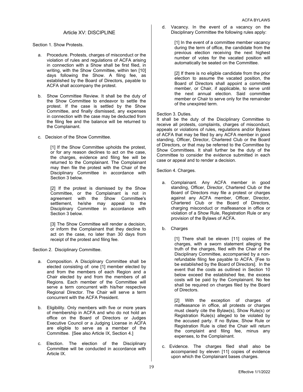#### Article XV: DISCIPLINE

Section 1. Show Protests.

- a. Procedure. Protests, charges of misconduct or the violation of rules and regulations of ACFA arising in connection with a Show shall be first filed, in writing, with the Show Committee, within ten [10] days following the Show. A filing fee, as established by the Board of Directors, payable to ACFA shall accompany the protest.
- b. Show Committee Review. It shall be the duty of the Show Committee to endeavor to settle the protest. If the case is settled by the Show Committee, and finally dismissed, any expenses in connection with the case may be deducted from the filing fee and the balance will be returned to the Complainant.
- c. Decision of the Show Committee.

[1] If the Show Committee upholds the protest, or for any reason declines to act on the case, the charges, evidence and filing fee will be returned to the Complainant. The Complainant may then file the protest with the Chair of the Disciplinary Committee in accordance with Section 3 below.

[2] If the protest is dismissed by the Show Committee, or the Complainant is not in agreement with the Show Committee's settlement, he/she may appeal to the Disciplinary Committee in accordance with Section 3 below.

[3] The Show Committee will render a decision, or inform the Complainant that they decline to act on the case, no later than 30 days from receipt of the protest and filing fee.

Section 2. Disciplinary Committee.

- a. Composition. A Disciplinary Committee shall be elected consisting of: one [1] member elected by and from the members of each Region and a Chair elected by and from the members of all Regions. Each member of the Committee will serve a term concurrent with his/her respective Regional Director. The Chair will serve a term concurrent with the ACFA President.
- b. Eligibility. Only members with five or more years of membership in ACFA and who do not hold an office on the Board of Directors or Judges Executive Council or a Judging License in ACFA are eligible to serve as a member of the Committee. [See also Article IX, Section 4.]
- c. Election. The election of the Disciplinary Committee will be conducted in accordance with Article IX.

d. Vacancy. In the event of a vacancy on the Disciplinary Committee the following rules apply:

> [1] In the event of a committee member vacancy during the term of office, the candidate from the previous election receiving the next highest number of votes for the vacated position will automatically be seated on the Committee.

> [2] If there is no eligible candidate from the prior election to assume the vacated position, the Board of Directors shall appoint a committee member, or Chair, if applicable, to serve until the next annual election. Said committee member or Chair to serve only for the remainder of the unexpired term.

#### Section 3. Duties.

It shall be the duty of the Disciplinary Committee to receive all protests, complaints, charges of misconduct, appeals or violations of rules, regulations and/or Bylaws of ACFA that may be filed by any ACFA member in good standing, Officer, Director, Chartered Club or the Board of Directors, or that may be referred to the Committee by Show Committees. It shall further be the duty of the Committee to consider the evidence submitted in each case or appeal and to render a decision.

#### Section 4. Charges.

- a. Complainant. Any ACFA member in good standing, Officer, Director, Chartered Club or the Board of Directors may file a protest or charges against any ACFA member, Officer, Director, Chartered Club or the Board of Directors, charging misconduct or malfeasance in office or violation of a Show Rule, Registration Rule or any provision of the Bylaws of ACFA.
- b. Charges

[1] There shall be eleven [11] copies of the charges, with a sworn statement alleging the truth of the charges, filed with the Chair of the Disciplinary Committee, accompanied by a nonrefundable filing fee payable to ACFA. [Fee to be established by the Board of Directors]. In the event that the costs as outlined in Section 10 below exceed the established fee, the excess costs will be paid by the Complainant. No fee shall be required on charges filed by the Board of Directors.

[2] With the exception of charges of malfeasance in office, all protests or charges must clearly cite the Bylaw(s), Show Rule(s) or Registration Rule(s) alleged to be violated by the accused party. If no Bylaw, Show Rule or Registration Rule is cited the Chair will return the complaint and filing fee, minus any expenses, to the Complainant.

c. Evidence. The charges filed shall also be accompanied by eleven [11] copies of evidence upon which the Complainant bases charges.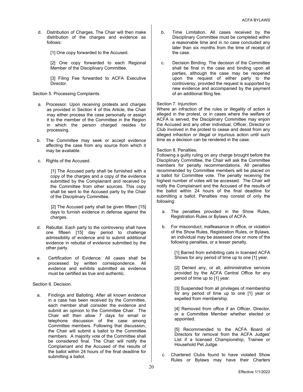- d. Distribution of Charges. The Chair will then make distribution of the charges and evidence as follows:
	- [1] One copy forwarded to the Accused.

[2] One copy forwarded to each Regional Member of the Disciplinary Committee.

[3] Filing Fee forwarded to ACFA Executive Director.

Section 5. Processing Complaints.

- a. Processor. Upon receiving protests and charges as provided in Section 4 of this Article, the Chair may either process the case personally or assign it to the member of the Committee in the Region in which the person charged resides for processing.
- b. The Committee may seek or accept evidence affecting the case from any source from which it may be available.
- c. Rights of the Accused.

[1] The Accused party shall be furnished with a copy of the charges and a copy of the evidence submitted by the Complainant and received by the Committee from other sources. This copy shall be sent to the Accused party by the Chair of the Disciplinary Committee.

[2] The Accused party shall be given fifteen [15] days to furnish evidence in defense against the charges.

- d. Rebuttal. Each party to the controversy shall have one fifteen [15] day period to challenge admissibility of evidence and to submit additional evidence in rebuttal of evidence submitted by the other party.
- e. Certification of Evidence. All cases shall be processed by written correspondence. All evidence and exhibits submitted as evidence must be certified as true and authentic.

Section 6. Decision.

a. Findings and Balloting. After all known evidence in a case has been received by the Committee, each member shall consider the evidence and submit an opinion to the Committee Chair. The Chair will then allow 7 days for email or telephone discussion of the case among Committee members. Following that discussion, the Chair will submit a ballot to the Committee members. A majority vote of the Committee shall be considered final. The Chair will notify the Complainant and the Accused of the results of the ballot within 24 hours of the final deadline for submitting a ballot.

- b. Time Limitation. All cases received by the Disciplinary Committee must be completed within a reasonable time and in no case concluded any later than six months from the time of receipt of the case.
- c. Decision Binding. The decision of the Committee shall be final in the case and binding upon all parties, although the case may be reopened upon the request of either party to the controversy, provided the request is supported by new evidence and accompanied by the payment of an additional filing fee.

#### Section 7. Injunction.

Where an infraction of the rules or illegality of action is alleged in the protest, or in cases where the welfare of ACFA is served, the Disciplinary Committee may enjoin the Accused and any other individual, Officer, Director or Club involved in the protest to cease and desist from any alleged infraction or illegal or injurious action until such time as a decision can be rendered in the case.

#### Section 8. Penalties.

Following a guilty ruling on any charge brought before the Disciplinary Committee, the Chair will ask the Committee members for penalty recommendations. All penalties recommended by Committee members will be placed on a ballot for Committee vote. The penalty receiving the highest number of votes will be accessed. The Chair will notify the Complainant and the Accused of the results of the ballot within 24 hours of the final deadline for submitting a ballot. Penalties may consist of only the following:

- a. The penalties provided in the Show Rules, Registration Rules or Bylaws of ACFA.
- b. For misconduct, malfeasance in office, or violation of the Show Rules, Registration Rules, or Bylaws, an individual may be assessed one or more of the following penalties, or a lesser penalty.

[1] Barred from exhibiting cats in licensed ACFA Shows for any period of time up to one [1] year.

[2] Denied any, or all, administrative services provided by the ACFA Central Office for any period of time up to [1] year.

[3] Suspended from all privileges of membership for any period of time up to one [1] year or expelled from membership.

[4] Removed from office if an Officer, Director, or a Committee Member whether elected or appointed.

[5] Recommended to the ACFA Board of Directors for removal from the ACFA Judges' List if a licensed Championship, Trainee or Household Pet Judge.

c. Chartered Clubs found to have violated Show Rules or Bylaws may have their Charters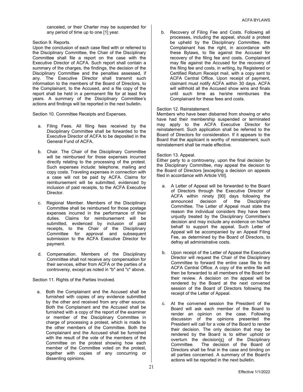canceled, or their Charter may be suspended for any period of time up to one [1] year.

#### Section 9. Reports.

Upon the conclusion of each case filed with or referred to the Disciplinary Committee, the Chair of the Disciplinary Committee shall file a report on the case with the Executive Director of ACFA. Such report shall contain a summary of the charges, the findings, the decision of the Disciplinary Committee and the penalties assessed, if any. The Executive Director shall transmit such information to the members of the Board of Directors, to the Complainant, to the Accused, and a file copy of the report shall be held in a permanent file for at least five years. A summary of the Disciplinary Committee's actions and findings will be reported in the next bulletin.

Section 10. Committee Receipts and Expenses.

- a. Filing Fees. All filing fees received by the Disciplinary Committee shall be forwarded to the Executive Director of ACFA to be deposited in the General Fund of ACFA.
- b. Chair. The Chair of the Disciplinary Committee will be reimbursed for those expenses incurred directly relating to the processing of the protest. Such expenses include: telephone, mailing and copy costs. Traveling expenses in connection with a case will not be paid by ACFA. Claims for reimbursement will be submitted, evidenced by inclusion of paid receipts, to the ACFA Executive Director.
- c. Regional Member. Members of the Disciplinary Committee shall be reimbursed for those postage expenses incurred in the performance of their duties. Claims for reimbursement will be submitted, evidenced by inclusion of paid receipts, to the Chair of the Disciplinary Committee for approval and subsequent submission to the ACFA Executive Director for payment.
- d. Compensation. Members of the Disciplinary Committee shall not receive any compensation for their services, either from ACFA or the parties of a controversy, except as noted in "b" and "c" above.

Section 11. Rights of the Parties Involved.

a. Both the Complainant and the Accused shall be furnished with copies of any evidence submitted by the other and received from any other source. Both the Complainant and the Accused shall be furnished with a copy of the report of the examiner or member of the Disciplinary Committee in charge of processing a protest, which is made to the other members of the Committee. Both the Complainant and the Accused shall be furnished with the result of the vote of the members of the Committee on the protest showing how each member of the Committee voted on the protest, together with copies of any concurring or dissenting opinions.

b. Recovery of Filing Fee and Costs. Following all processes, including the appeal, should a protest be upheld by the Disciplinary Committee, the Complainant has the right, in accordance with these Bylaws, to file against the Accused for recovery of the filing fee and costs. Complainant may file against the Accused for the recovery of the filing fee and costs, in writing, by Registered or Certified Return Receipt mail, with a copy sent to ACFA Central Office. Upon receipt of payment, claimant must notify ACFA within 30 days. ACFA will withhold all the Accused show wins and finals until such time as he/she reimburses the Complainant for these fees and costs.

#### Section 12. Reinstatement.

Members who have been disbarred from showing or who have had their membership suspended or terminated may apply to the ACFA Executive Director for reinstatement. Such application shall be referred to the Board of Directors for consideration. If it appears to the Board that the applicant is worthy of reinstatement, such reinstatement shall be made effective.

#### Section 13. Appeal.

Either party to a controversy, upon the final decision by the Disciplinary Committee, may appeal the decision to the Board of Directors [excepting a decision on appeals filed in accordance with Article VIII].

- a. A Letter of Appeal will be forwarded to the Board of Directors through the Executive Director of ACFA within ninety [90] days following the announced decision of the Disciplinary Committee. The Letter of Appeal must state the reason the individual considers they have been unjustly treated by the Disciplinary Committee's decision and may include any evidence on his/her behalf to support the appeal. Such Letter of Appeal will be accompanied by an Appeal Filing Fee, as determined by the Board of Directors, to defray all administrative costs.
- b. Upon receipt of the Letter of Appeal the Executive Director will request the Chair of the Disciplinary Committee to forward the entire case file to the ACFA Central Office. A copy of the entire file will then be forwarded to all members of the Board for their review. A decision on the appeal will be rendered by the Board at the next convened session of the Board of Directors following the receipt of the Letter of Appeal.
- c. At the convened session the President of the Board will ask each member of the Board to render an opinion on the case. Following discussion of the opinions presented the President will call for a vote of the Board to render their decision. The only decision that may be rendered by the Board is to either uphold or overturn the decision(s) of the Disciplinary Committee. The decision of the Board of Directors shall be final in the case and binding on all parties concerned. A summary of the Board's actions will be reported in the next bulletin.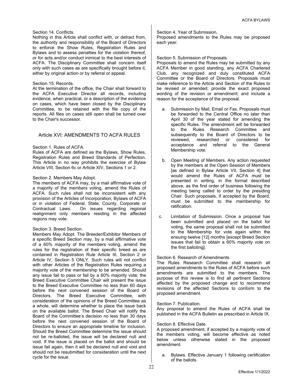#### Section 14. Conflicts.

Nothing in this Article shall conflict with, or detract from, the authority and responsibility of the Board of Directors to enforce the Show Rules, Registration Rules and Bylaws and to assess penalties for the violation thereof, or for acts and/or conduct inimical to the best interests of ACFA. The Disciplinary Committee shall concern itself only with such cases as are specifically brought before it, either by original action or by referral or appeal.

#### Section 15. Records.

At the termination of the office, the Chair shall forward to the ACFA Executive Director all records, including evidence, when practical, or a description of the evidence on cases, which have been closed by the Disciplinary Committee, to be retained with the file copy of the reports. All files on cases still open shall be turned over to the Chair's successor.

#### Article XVI: AMENDMENTS TO ACFA RULES

#### Section 1. Rules of ACFA.

Rules of ACFA are defined as the Bylaws, Show Rules, Registration Rules and Breed Standards of Perfection. This Article in no way prohibits the exercise of Bylaw Article VIII, Section 6c or Article XIV, Sections 1 or 2.

#### Section 2. Members May Adopt.

The members of ACFA may, by a mail affirmative vote of a majority of the members voting, amend the Rules of ACFA. Such rules shall not be inconsistent with any provision of the Articles of Incorporation, Bylaws of ACFA or in violation of Federal, State, County, Corporate or Contractual Laws. On issues regarding regional realignment only members residing in the affected regions may vote.

#### Section 3. Breed Section.

Members May Adopt. The Breeder/Exhibitor Members of a specific Breed Section may, by a mail affirmative vote of a 60% majority of the members voting, amend the rules for the registration of their specific breed as are contained in Registration Rule Article III, Section 2 or Article IV, Section 5 ONLY. Such rules will not conflict with other Articles of the Registration Rules requiring a majority vote of the membership to be amended. Should any issue fail to pass or fail by a 60% majority vote; the Breed Executive Committee Chair will present the issue to the Breed Executive Committee no less than 60 days before the next convened session of the Board of Directors. The Breed Executive Committee, with consideration of the opinions of the Breed Committee as a whole, will determine whether to place the issue back on the available ballot. The Breed Chair will notify the Board of the Committee's decision no less than 30 days before the next convened session of the Board of Directors to ensure an appropriate timeline for inclusion. Should the Breed Committee determine the issue should not be re-balloted, the issue will be declared null and void. If the issue is placed on the ballot and should be issue fail again, then it will be declared null and void and should not be resubmitted for consideration until the next cycle for the issue.

#### Section 4. Year of Submission.

Proposed amendments to the Rules may be proposed each year:

#### Section 5. Submission of Proposals.

Proposals to amend the Rules may be submitted by any ACFA Member in good standing, any ACFA Chartered Club, any recognized and duly constituted ACFA Committee or the Board of Directors. Proposals must make reference to the Article and Section of the Rules to be revised or amended; provide the exact proposed wording of the revision or amendment; and include a reason for the acceptance of the proposal.

- a. Submission by Mail, Email or Fax. Proposals must be forwarded to the Central Office no later than April 30 of the year stated for amending the specific Rules. The amendment will be forwarded to the Rules Research Committee and subsequently to the Board of Directors to be reviewed, researched or considered for acceptance and referral to the General Membership vote.
- b. Open Meeting of Members. Any action requested by the members at the Open Session of Members [as defined in Bylaw Article VII, Section 4] that would amend the Rules of ACFA must be presented in writing, in the format described above, as the first order of business following the meeting being called to order by the presiding Chair. Such proposals, if accepted by the Board, must be submitted to the membership for ratification.
- c. Limitation of Submission. Once a proposal has been submitted and placed on the ballot for voting, the same proposal shall not be submitted to the Membership for vote again within the ensuing twelve [12] months [except Breed Section issues that fail to obtain a 60% majority vote on the first balloting].

#### Section 6. Research of Amendments.

The Rules Research Committee shall research all proposed amendments to the Rules of ACFA before such amendments are submitted to the members. The purpose of this review is to find all pertinent Sections affected by the proposed change and to recommend revisions of the affected Sections to conform to the proposed amendment.

#### Section 7. Publication.

Any proposal to amend the Rules of ACFA shall be published in the ACFA Bulletin as prescribed in Article IX.

#### Section 8. Effective Date.

A proposed amendment, if accepted by a majority vote of the members voting, will become effective as noted below unless otherwise stated in the proposed amendment.

a. Bylaws. Effective January 1 following certification of the ballots.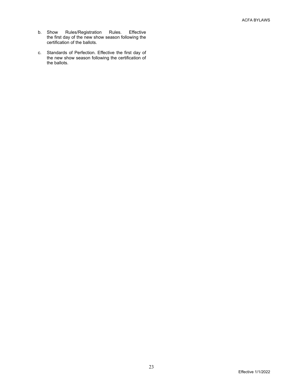- b. Show Rules/Registration Rules. Effective the first day of the new show season following the certification of the ballots.
- c. Standards of Perfection. Effective the first day of the new show season following the certification of the ballots.